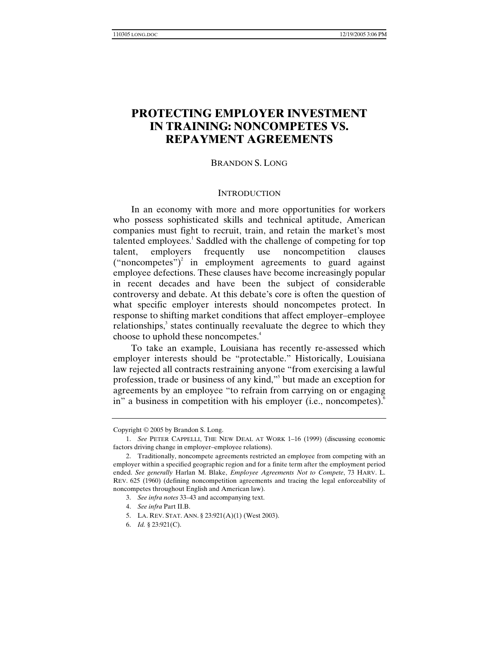# **PROTECTING EMPLOYER INVESTMENT IN TRAINING: NONCOMPETES VS. REPAYMENT AGREEMENTS**

# BRANDON S. LONG

#### **INTRODUCTION**

In an economy with more and more opportunities for workers who possess sophisticated skills and technical aptitude, American companies must fight to recruit, train, and retain the market's most talented employees.<sup>1</sup> Saddled with the challenge of competing for top talent, employers frequently use noncompetition clauses ("noncompetes")<sup>2</sup> in employment agreements to guard against employee defections. These clauses have become increasingly popular in recent decades and have been the subject of considerable controversy and debate. At this debate's core is often the question of what specific employer interests should noncompetes protect. In response to shifting market conditions that affect employer–employee relationships, $3$  states continually reevaluate the degree to which they choose to uphold these noncompetes.<sup>4</sup>

To take an example, Louisiana has recently re-assessed which employer interests should be "protectable." Historically, Louisiana law rejected all contracts restraining anyone "from exercising a lawful profession, trade or business of any kind,"<sup>5</sup> but made an exception for agreements by an employee "to refrain from carrying on or engaging in" a business in competition with his employer (i.e., noncompetes).<sup>6</sup>

Copyright © 2005 by Brandon S. Long.

<sup>1.</sup> *See* PETER CAPPELLI, THE NEW DEAL AT WORK 1–16 (1999) (discussing economic factors driving change in employer–employee relations).

 <sup>2.</sup> Traditionally, noncompete agreements restricted an employee from competing with an employer within a specified geographic region and for a finite term after the employment period ended. *See generally* Harlan M. Blake, *Employee Agreements Not to Compete*, 73 HARV. L. REV. 625 (1960) (defining noncompetition agreements and tracing the legal enforceability of noncompetes throughout English and American law).

<sup>3.</sup> *See infra notes* 33–43 and accompanying text.

<sup>4.</sup> *See infra* Part II.B.

 <sup>5.</sup> LA. REV. STAT. ANN. § 23:921(A)(1) (West 2003).

<sup>6.</sup> *Id.* § 23:921(C).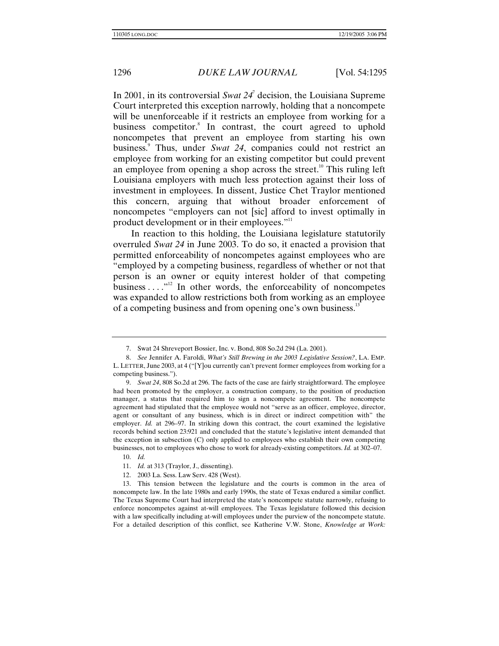In 2001, in its controversial *Swat 24*<sup>7</sup> decision, the Louisiana Supreme Court interpreted this exception narrowly, holding that a noncompete will be unenforceable if it restricts an employee from working for a business competitor.<sup>8</sup> In contrast, the court agreed to uphold noncompetes that prevent an employee from starting his own business.<sup>9</sup> Thus, under *Swat 24*, companies could not restrict an employee from working for an existing competitor but could prevent an employee from opening a shop across the street.<sup>10</sup> This ruling left Louisiana employers with much less protection against their loss of investment in employees. In dissent, Justice Chet Traylor mentioned this concern, arguing that without broader enforcement of noncompetes "employers can not [sic] afford to invest optimally in product development or in their employees."<sup>11</sup>

In reaction to this holding, the Louisiana legislature statutorily overruled *Swat 24* in June 2003. To do so, it enacted a provision that permitted enforceability of noncompetes against employees who are "employed by a competing business, regardless of whether or not that person is an owner or equity interest holder of that competing business  $\dots$ <sup>212</sup> In other words, the enforceability of noncompetes was expanded to allow restrictions both from working as an employee of a competing business and from opening one's own business.<sup>13</sup>

 <sup>7.</sup> Swat 24 Shreveport Bossier, Inc. v. Bond, 808 So.2d 294 (La. 2001).

<sup>8.</sup> *See* Jennifer A. Faroldi, *What's Still Brewing in the 2003 Legislative Session?*, LA. EMP. L. LETTER, June 2003, at 4 ("[Y]ou currently can't prevent former employees from working for a competing business.").

<sup>9.</sup> *Swat 24*, 808 So.2d at 296. The facts of the case are fairly straightforward. The employee had been promoted by the employer, a construction company, to the position of production manager, a status that required him to sign a noncompete agreement. The noncompete agreement had stipulated that the employee would not "serve as an officer, employee, director, agent or consultant of any business, which is in direct or indirect competition with" the employer. *Id.* at 296–97. In striking down this contract, the court examined the legislative records behind section 23:921 and concluded that the statute's legislative intent demanded that the exception in subsection (C) only applied to employees who establish their own competing businesses, not to employees who chose to work for already-existing competitors. *Id.* at 302–07.

<sup>10.</sup> *Id.* 

<sup>11.</sup> *Id.* at 313 (Traylor, J., dissenting).

 <sup>12. 2003</sup> La. Sess. Law Serv. 428 (West).

 <sup>13.</sup> This tension between the legislature and the courts is common in the area of noncompete law. In the late 1980s and early 1990s, the state of Texas endured a similar conflict. The Texas Supreme Court had interpreted the state's noncompete statute narrowly, refusing to enforce noncompetes against at-will employees. The Texas legislature followed this decision with a law specifically including at-will employees under the purview of the noncompete statute. For a detailed description of this conflict, see Katherine V.W. Stone, *Knowledge at Work:*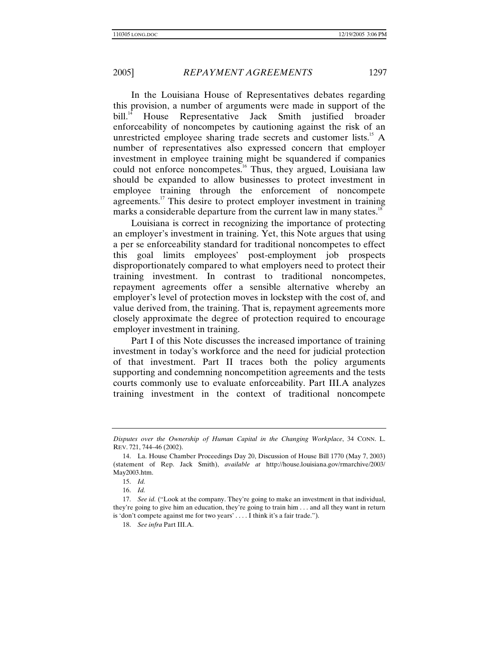In the Louisiana House of Representatives debates regarding this provision, a number of arguments were made in support of the bill.<sup>14</sup> House Representative Jack Smith justified broader enforceability of noncompetes by cautioning against the risk of an unrestricted employee sharing trade secrets and customer lists.<sup>15</sup> A number of representatives also expressed concern that employer investment in employee training might be squandered if companies could not enforce noncompetes.<sup>16</sup> Thus, they argued, Louisiana law should be expanded to allow businesses to protect investment in employee training through the enforcement of noncompete agreements.<sup>17</sup> This desire to protect employer investment in training marks a considerable departure from the current law in many states.<sup>18</sup>

Louisiana is correct in recognizing the importance of protecting an employer's investment in training. Yet, this Note argues that using a per se enforceability standard for traditional noncompetes to effect this goal limits employees' post-employment job prospects disproportionately compared to what employers need to protect their training investment. In contrast to traditional noncompetes, repayment agreements offer a sensible alternative whereby an employer's level of protection moves in lockstep with the cost of, and value derived from, the training. That is, repayment agreements more closely approximate the degree of protection required to encourage employer investment in training.

Part I of this Note discusses the increased importance of training investment in today's workforce and the need for judicial protection of that investment. Part II traces both the policy arguments supporting and condemning noncompetition agreements and the tests courts commonly use to evaluate enforceability. Part III.A analyzes training investment in the context of traditional noncompete

16. *Id.* 

*Disputes over the Ownership of Human Capital in the Changing Workplace*, 34 CONN. L. REV. 721, 744–46 (2002).

 <sup>14.</sup> La. House Chamber Proceedings Day 20, Discussion of House Bill 1770 (May 7, 2003) (statement of Rep. Jack Smith), *available at* http://house.louisiana.gov/rmarchive/2003/ May2003.htm.

<sup>15.</sup> *Id.* 

<sup>17.</sup> *See id.* ("Look at the company. They're going to make an investment in that individual, they're going to give him an education, they're going to train him . . . and all they want in return is 'don't compete against me for two years' . . . . I think it's a fair trade.").

<sup>18.</sup> *See infra* Part III.A.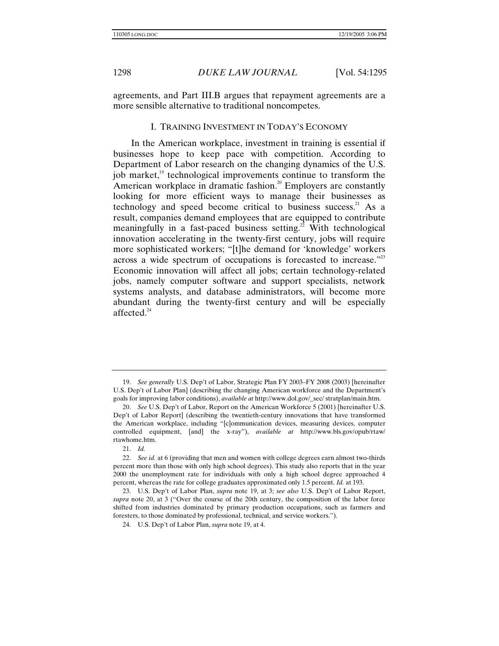agreements, and Part III.B argues that repayment agreements are a more sensible alternative to traditional noncompetes.

## I. TRAINING INVESTMENT IN TODAY'S ECONOMY

In the American workplace, investment in training is essential if businesses hope to keep pace with competition. According to Department of Labor research on the changing dynamics of the U.S. job market, $\frac{19}{12}$  technological improvements continue to transform the American workplace in dramatic fashion.<sup>20</sup> Employers are constantly looking for more efficient ways to manage their businesses as technology and speed become critical to business success. $21$  As a result, companies demand employees that are equipped to contribute meaningfully in a fast-paced business setting.<sup>22</sup> With technological innovation accelerating in the twenty-first century, jobs will require more sophisticated workers; "[t]he demand for 'knowledge' workers across a wide spectrum of occupations is forecasted to increase."<sup>23</sup> Economic innovation will affect all jobs; certain technology-related jobs, namely computer software and support specialists, network systems analysts, and database administrators, will become more abundant during the twenty-first century and will be especially affected. $^{24}$ 

21. *Id.* 

<sup>19.</sup> *See generally* U.S. Dep't of Labor, Strategic Plan FY 2003–FY 2008 (2003) [hereinafter U.S. Dep't of Labor Plan] (describing the changing American workforce and the Department's goals for improving labor conditions), *available at* http://www.dol.gov/\_sec/ stratplan/main.htm.

<sup>20.</sup> *See* U.S. Dep't of Labor, Report on the American Workforce 5 (2001) [hereinafter U.S. Dep't of Labor Report] (describing the twentieth-century innovations that have transformed the American workplace, including "[c]ommunication devices, measuring devices, computer controlled equipment, [and] the x-ray"), *available at* http://www.bls.gov/opub/rtaw/ rtawhome.htm.

<sup>22.</sup> *See id.* at 6 (providing that men and women with college degrees earn almost two-thirds percent more than those with only high school degrees). This study also reports that in the year 2000 the unemployment rate for individuals with only a high school degree approached 4 percent, whereas the rate for college graduates approximated only 1.5 percent. *Id.* at 193.

 <sup>23.</sup> U.S. Dep't of Labor Plan, *supra* note 19, at 3; *see also* U.S. Dep't of Labor Report, *supra* note 20, at 3 ("Over the course of the 20th century, the composition of the labor force shifted from industries dominated by primary production occupations, such as farmers and foresters, to those dominated by professional, technical, and service workers.").

 <sup>24.</sup> U.S. Dep't of Labor Plan, *supra* note 19, at 4.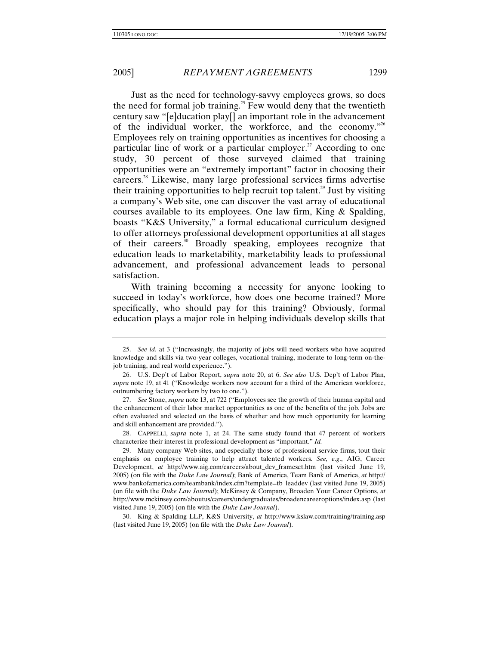Just as the need for technology-savvy employees grows, so does the need for formal job training.<sup>25</sup> Few would deny that the twentieth century saw "[e]ducation play[] an important role in the advancement of the individual worker, the workforce, and the economy."26 Employees rely on training opportunities as incentives for choosing a particular line of work or a particular employer.<sup>27</sup> According to one study, 30 percent of those surveyed claimed that training opportunities were an "extremely important" factor in choosing their careers.28 Likewise, many large professional services firms advertise their training opportunities to help recruit top talent.<sup>29</sup> Just by visiting a company's Web site, one can discover the vast array of educational courses available to its employees. One law firm, King & Spalding, boasts "K&S University," a formal educational curriculum designed to offer attorneys professional development opportunities at all stages of their careers.30 Broadly speaking, employees recognize that education leads to marketability, marketability leads to professional advancement, and professional advancement leads to personal satisfaction.

With training becoming a necessity for anyone looking to succeed in today's workforce, how does one become trained? More specifically, who should pay for this training? Obviously, formal education plays a major role in helping individuals develop skills that

 28. CAPPELLI, *supra* note 1, at 24. The same study found that 47 percent of workers characterize their interest in professional development as "important." *Id.* 

<sup>25.</sup> *See id.* at 3 ("Increasingly, the majority of jobs will need workers who have acquired knowledge and skills via two-year colleges, vocational training, moderate to long-term on-thejob training, and real world experience.").

 <sup>26.</sup> U.S. Dep't of Labor Report, *supra* note 20, at 6. *See also* U.S. Dep't of Labor Plan, *supra* note 19, at 41 ("Knowledge workers now account for a third of the American workforce, outnumbering factory workers by two to one.").

<sup>27.</sup> *See* Stone, *supra* note 13, at 722 ("Employees see the growth of their human capital and the enhancement of their labor market opportunities as one of the benefits of the job. Jobs are often evaluated and selected on the basis of whether and how much opportunity for learning and skill enhancement are provided.").

 <sup>29.</sup> Many company Web sites, and especially those of professional service firms, tout their emphasis on employee training to help attract talented workers. *See, e*.*g*., AIG, Career Development, *at* http://www.aig.com/careers/about\_dev\_frameset.htm (last visited June 19, 2005) (on file with the *Duke Law Journal*); Bank of America, Team Bank of America, *at* http:// www.bankofamerica.com/teambank/index.cfm?template=tb\_leaddev (last visited June 19, 2005) (on file with the *Duke Law Journal*); McKinsey & Company, Broaden Your Career Options, *at*  http://www.mckinsey.com/aboutus/careers/undergraduates/broadencareeroptions/index.asp (last visited June 19, 2005) (on file with the *Duke Law Journal*).

 <sup>30.</sup> King & Spalding LLP, K&S University, *at* http://www.kslaw.com/training/training.asp (last visited June 19, 2005) (on file with the *Duke Law Journal*).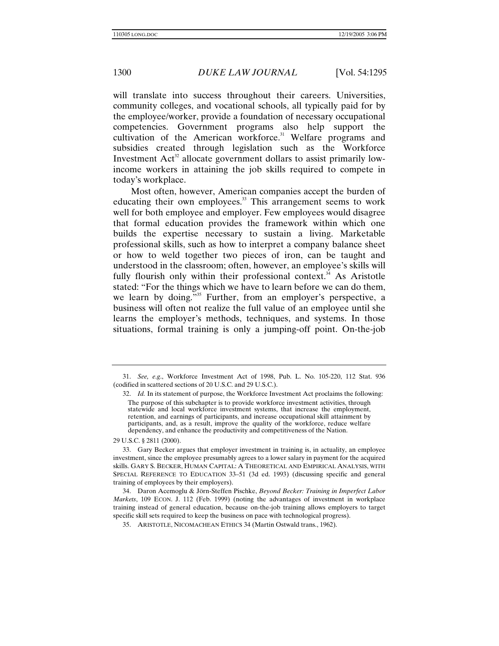will translate into success throughout their careers. Universities, community colleges, and vocational schools, all typically paid for by the employee/worker, provide a foundation of necessary occupational competencies. Government programs also help support the cultivation of the American workforce. $31$  Welfare programs and subsidies created through legislation such as the Workforce Investment  $Act^{32}$  allocate government dollars to assist primarily lowincome workers in attaining the job skills required to compete in today's workplace.

Most often, however, American companies accept the burden of educating their own employees.<sup>33</sup> This arrangement seems to work well for both employee and employer. Few employees would disagree that formal education provides the framework within which one builds the expertise necessary to sustain a living. Marketable professional skills, such as how to interpret a company balance sheet or how to weld together two pieces of iron, can be taught and understood in the classroom; often, however, an employee's skills will fully flourish only within their professional context.<sup> $34$ </sup> As Aristotle stated: "For the things which we have to learn before we can do them, we learn by doing."<sup>35</sup> Further, from an employer's perspective, a business will often not realize the full value of an employee until she learns the employer's methods, techniques, and systems. In those situations, formal training is only a jumping-off point. On-the-job

29 U.S.C. § 2811 (2000).

 34. Daron Acemoglu & Jörn-Steffen Pischke, *Beyond Becker: Training in Imperfect Labor Markets*, 109 ECON. J. 112 (Feb. 1999) (noting the advantages of investment in workplace training instead of general education, because on-the-job training allows employers to target specific skill sets required to keep the business on pace with technological progress).

35. ARISTOTLE, NICOMACHEAN ETHICS 34 (Martin Ostwald trans., 1962).

<sup>31.</sup> *See, e*.*g*., Workforce Investment Act of 1998, Pub. L. No. 105-220, 112 Stat. 936 (codified in scattered sections of 20 U.S.C. and 29 U.S.C.).

<sup>32.</sup> *Id.* In its statement of purpose, the Workforce Investment Act proclaims the following: The purpose of this subchapter is to provide workforce investment activities, through statewide and local workforce investment systems, that increase the employment, retention, and earnings of participants, and increase occupational skill attainment by participants, and, as a result, improve the quality of the workforce, reduce welfare dependency, and enhance the productivity and competitiveness of the Nation.

 <sup>33.</sup> Gary Becker argues that employer investment in training is, in actuality, an employee investment, since the employee presumably agrees to a lower salary in payment for the acquired skills. GARY S. BECKER, HUMAN CAPITAL: A THEORETICAL AND EMPIRICAL ANALYSIS, WITH SPECIAL REFERENCE TO EDUCATION 33–51 (3d ed. 1993) (discussing specific and general training of employees by their employers).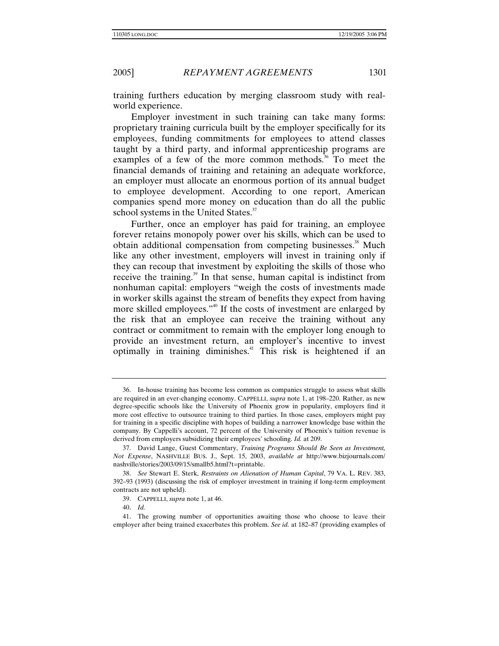training furthers education by merging classroom study with realworld experience.

Employer investment in such training can take many forms: proprietary training curricula built by the employer specifically for its employees, funding commitments for employees to attend classes taught by a third party, and informal apprenticeship programs are examples of a few of the more common methods. $36$  To meet the financial demands of training and retaining an adequate workforce, an employer must allocate an enormous portion of its annual budget to employee development. According to one report, American companies spend more money on education than do all the public school systems in the United States.<sup>37</sup>

Further, once an employer has paid for training, an employee forever retains monopoly power over his skills, which can be used to obtain additional compensation from competing businesses.<sup>38</sup> Much like any other investment, employers will invest in training only if they can recoup that investment by exploiting the skills of those who receive the training.<sup>39</sup> In that sense, human capital is indistinct from nonhuman capital: employers "weigh the costs of investments made in worker skills against the stream of benefits they expect from having more skilled employees."<sup>40</sup> If the costs of investment are enlarged by the risk that an employee can receive the training without any contract or commitment to remain with the employer long enough to provide an investment return, an employer's incentive to invest optimally in training diminishes.<sup>41</sup> This risk is heightened if an

 <sup>36.</sup> In-house training has become less common as companies struggle to assess what skills are required in an ever-changing economy. CAPPELLI, *supra* note 1, at 198–220. Rather, as new degree-specific schools like the University of Phoenix grow in popularity, employers find it more cost effective to outsource training to third parties. In those cases, employers might pay for training in a specific discipline with hopes of building a narrower knowledge base within the company. By Cappelli's account, 72 percent of the University of Phoenix's tuition revenue is derived from employers subsidizing their employees' schooling. *Id.* at 209.

 <sup>37.</sup> David Lange, Guest Commentary, *Training Programs Should Be Seen as Investment, Not Expense*, NASHVILLE BUS. J., Sept. 15, 2003, *available at* http://www.bizjournals.com/ nashville/stories/2003/09/15/smallb5.html?t=printable.

<sup>38.</sup> *See* Stewart E. Sterk, *Restraints on Alienation of Human Capital*, 79 VA. L. REV. 383, 392–93 (1993) (discussing the risk of employer investment in training if long-term employment contracts are not upheld).

 <sup>39.</sup> CAPPELLI, *supra* note 1, at 46.

<sup>40.</sup> *Id.* 

 <sup>41.</sup> The growing number of opportunities awaiting those who choose to leave their employer after being trained exacerbates this problem. *See id.* at 182–87 (providing examples of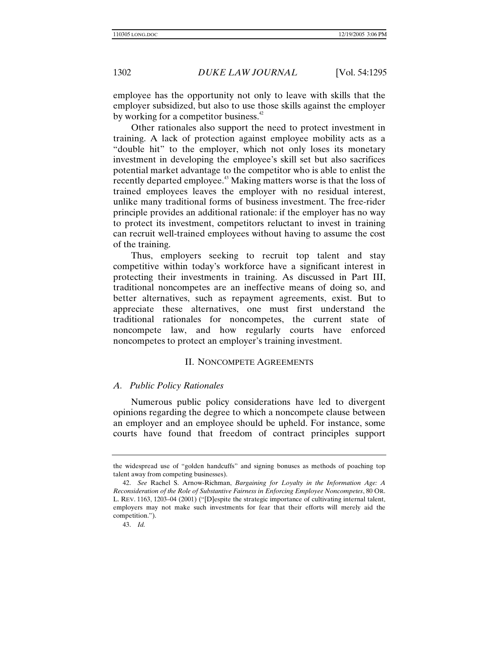employee has the opportunity not only to leave with skills that the employer subsidized, but also to use those skills against the employer by working for a competitor business. $42$ 

Other rationales also support the need to protect investment in training. A lack of protection against employee mobility acts as a "double hit" to the employer, which not only loses its monetary investment in developing the employee's skill set but also sacrifices potential market advantage to the competitor who is able to enlist the recently departed employee.<sup>43</sup> Making matters worse is that the loss of trained employees leaves the employer with no residual interest, unlike many traditional forms of business investment. The free-rider principle provides an additional rationale: if the employer has no way to protect its investment, competitors reluctant to invest in training can recruit well-trained employees without having to assume the cost of the training.

Thus, employers seeking to recruit top talent and stay competitive within today's workforce have a significant interest in protecting their investments in training. As discussed in Part III, traditional noncompetes are an ineffective means of doing so, and better alternatives, such as repayment agreements, exist. But to appreciate these alternatives, one must first understand the traditional rationales for noncompetes, the current state of noncompete law, and how regularly courts have enforced noncompetes to protect an employer's training investment.

### II. NONCOMPETE AGREEMENTS

### *A. Public Policy Rationales*

Numerous public policy considerations have led to divergent opinions regarding the degree to which a noncompete clause between an employer and an employee should be upheld. For instance, some courts have found that freedom of contract principles support

the widespread use of "golden handcuffs" and signing bonuses as methods of poaching top talent away from competing businesses).

<sup>42.</sup> *See* Rachel S. Arnow-Richman, *Bargaining for Loyalty in the Information Age: A Reconsideration of the Role of Substantive Fairness in Enforcing Employee Noncompetes*, 80 OR. L. REV. 1163, 1203–04 (2001) ("[D]espite the strategic importance of cultivating internal talent, employers may not make such investments for fear that their efforts will merely aid the competition.").

<sup>43.</sup> *Id.*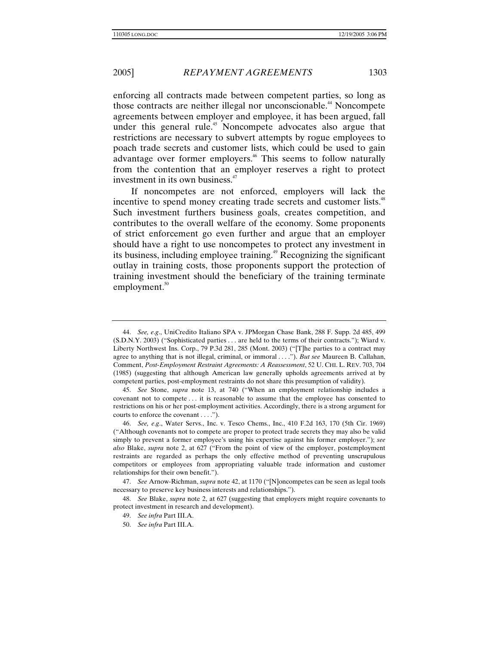enforcing all contracts made between competent parties, so long as those contracts are neither illegal nor unconscionable.<sup>44</sup> Noncompete agreements between employer and employee, it has been argued, fall under this general rule.<sup>45</sup> Noncompete advocates also argue that restrictions are necessary to subvert attempts by rogue employees to poach trade secrets and customer lists, which could be used to gain advantage over former employers.<sup>46</sup> This seems to follow naturally from the contention that an employer reserves a right to protect investment in its own business.<sup>47</sup>

If noncompetes are not enforced, employers will lack the incentive to spend money creating trade secrets and customer lists.<sup>48</sup> Such investment furthers business goals, creates competition, and contributes to the overall welfare of the economy. Some proponents of strict enforcement go even further and argue that an employer should have a right to use noncompetes to protect any investment in its business, including employee training.<sup>49</sup> Recognizing the significant outlay in training costs, those proponents support the protection of training investment should the beneficiary of the training terminate employment. $50$ 

45. *See* Stone, *supra* note 13, at 740 ("When an employment relationship includes a covenant not to compete . . . it is reasonable to assume that the employee has consented to restrictions on his or her post-employment activities. Accordingly, there is a strong argument for courts to enforce the covenant . . . .").

<sup>44.</sup> *See, e*.*g*., UniCredito Italiano SPA v. JPMorgan Chase Bank, 288 F. Supp. 2d 485, 499 (S.D.N.Y. 2003) ("Sophisticated parties . . . are held to the terms of their contracts."); Wiard v. Liberty Northwest Ins. Corp., 79 P.3d 281, 285 (Mont. 2003) ("[T]he parties to a contract may agree to anything that is not illegal, criminal, or immoral . . . ."). *But see* Maureen B. Callahan, Comment, *Post-Employment Restraint Agreements: A Reassessment*, 52 U. CHI. L. REV. 703, 704 (1985) (suggesting that although American law generally upholds agreements arrived at by competent parties, post-employment restraints do not share this presumption of validity).

<sup>46.</sup> *See, e*.*g*., Water Servs., Inc. v. Tesco Chems., Inc., 410 F.2d 163, 170 (5th Cir. 1969) ("Although covenants not to compete are proper to protect trade secrets they may also be valid simply to prevent a former employee's using his expertise against his former employer."); *see also* Blake, *supra* note 2, at 627 ("From the point of view of the employer, postemployment restraints are regarded as perhaps the only effective method of preventing unscrupulous competitors or employees from appropriating valuable trade information and customer relationships for their own benefit.").

<sup>47.</sup> *See* Arnow-Richman, *supra* note 42, at 1170 ("[N]oncompetes can be seen as legal tools necessary to preserve key business interests and relationships.").

<sup>48.</sup> *See* Blake, *supra* note 2, at 627 (suggesting that employers might require covenants to protect investment in research and development).

<sup>49.</sup> *See infra* Part III.A.

<sup>50.</sup> *See infra* Part III.A.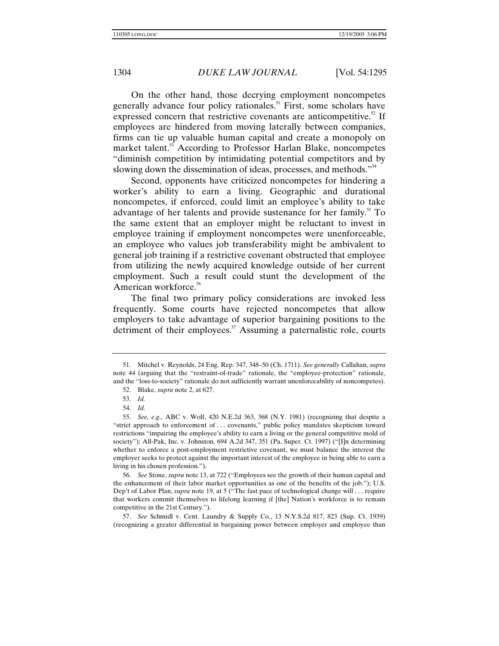On the other hand, those decrying employment noncompetes generally advance four policy rationales.<sup>51</sup> First, some scholars have expressed concern that restrictive covenants are anticompetitive.<sup>52</sup> If employees are hindered from moving laterally between companies, firms can tie up valuable human capital and create a monopoly on market talent.<sup>53</sup> According to Professor Harlan Blake, noncompetes "diminish competition by intimidating potential competitors and by slowing down the dissemination of ideas, processes, and methods."<sup>54</sup>

Second, opponents have criticized noncompetes for hindering a worker's ability to earn a living. Geographic and durational noncompetes, if enforced, could limit an employee's ability to take advantage of her talents and provide sustenance for her family.<sup>55</sup> To the same extent that an employer might be reluctant to invest in employee training if employment noncompetes were unenforceable, an employee who values job transferability might be ambivalent to general job training if a restrictive covenant obstructed that employee from utilizing the newly acquired knowledge outside of her current employment. Such a result could stunt the development of the American workforce.<sup>56</sup>

The final two primary policy considerations are invoked less frequently. Some courts have rejected noncompetes that allow employers to take advantage of superior bargaining positions to the detriment of their employees. $57$  Assuming a paternalistic role, courts

 <sup>51.</sup> Mitchel v. Reynolds, 24 Eng. Rep. 347, 348–50 (Ch. 1711). *See generally* Callahan, *supra*  note 44 (arguing that the "restraint-of-trade" rationale, the "employee-protection" rationale, and the "loss-to-society" rationale do not sufficiently warrant unenforceability of noncompetes).

 <sup>52.</sup> Blake, *supra* note 2, at 627.

<sup>53.</sup> *Id.* 

<sup>54.</sup> *Id.* 

<sup>55.</sup> *See, e*.*g*., ABC v. Wolf, 420 N.E.2d 363, 368 (N.Y. 1981) (recognizing that despite a "strict approach to enforcement of . . . covenants," public policy mandates skepticism toward restrictions "impairing the employee's ability to earn a living or the general competitive mold of society"); All-Pak, Inc. v. Johnston, 694 A.2d 347, 351 (Pa. Super. Ct. 1997) ("[I]n determining whether to enforce a post-employment restrictive covenant, we must balance the interest the employer seeks to protect against the important interest of the employee in being able to earn a living in his chosen profession.").

<sup>56.</sup> *See* Stone, *supra* note 13, at 722 ("Employees see the growth of their human capital and the enhancement of their labor market opportunities as one of the benefits of the job."); U.S. Dep't of Labor Plan, *supra* note 19, at 5 ("The fast pace of technological change will . . . require that workers commit themselves to lifelong learning if [the] Nation's workforce is to remain competitive in the 21st Century.").

<sup>57.</sup> *See* Schmidl v. Cent. Laundry & Supply Co., 13 N.Y.S.2d 817, 823 (Sup. Ct. 1939) (recognizing a greater differential in bargaining power between employer and employee than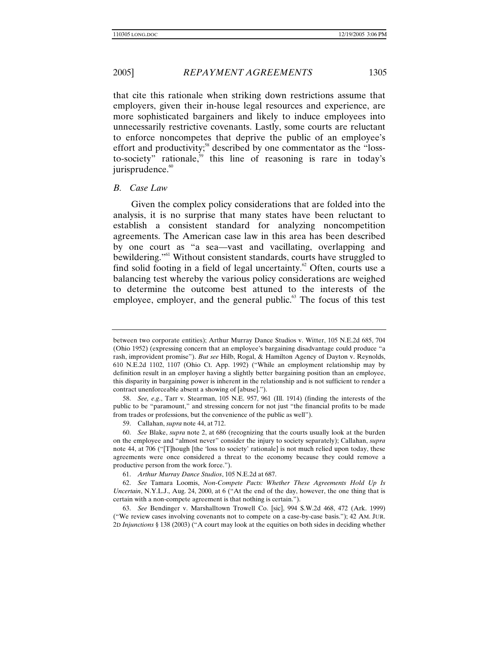that cite this rationale when striking down restrictions assume that employers, given their in-house legal resources and experience, are more sophisticated bargainers and likely to induce employees into unnecessarily restrictive covenants. Lastly, some courts are reluctant to enforce noncompetes that deprive the public of an employee's effort and productivity;<sup>58</sup> described by one commentator as the "lossto-society" rationale,<sup>59</sup> this line of reasoning is rare in today's jurisprudence.<sup>60</sup>

## *B. Case Law*

Given the complex policy considerations that are folded into the analysis, it is no surprise that many states have been reluctant to establish a consistent standard for analyzing noncompetition agreements. The American case law in this area has been described by one court as "a sea—vast and vacillating, overlapping and bewildering."<sup>61</sup> Without consistent standards, courts have struggled to find solid footing in a field of legal uncertainty.<sup>62</sup> Often, courts use a balancing test whereby the various policy considerations are weighed to determine the outcome best attuned to the interests of the employee, employer, and the general public. $63$  The focus of this test

between two corporate entities); Arthur Murray Dance Studios v. Witter, 105 N.E.2d 685, 704 (Ohio 1952) (expressing concern that an employee's bargaining disadvantage could produce "a rash, improvident promise"). *But see* Hilb, Rogal, & Hamilton Agency of Dayton v. Reynolds, 610 N.E.2d 1102, 1107 (Ohio Ct. App. 1992) ("While an employment relationship may by definition result in an employer having a slightly better bargaining position than an employee, this disparity in bargaining power is inherent in the relationship and is not sufficient to render a contract unenforceable absent a showing of [abuse].").

<sup>58.</sup> *See, e*.*g*., Tarr v. Stearman, 105 N.E. 957, 961 (Ill. 1914) (finding the interests of the public to be "paramount," and stressing concern for not just "the financial profits to be made from trades or professions, but the convenience of the public as well").

 <sup>59.</sup> Callahan, *supra* note 44, at 712.

<sup>60.</sup> *See* Blake, *supra* note 2, at 686 (recognizing that the courts usually look at the burden on the employee and "almost never" consider the injury to society separately); Callahan, *supra* note 44, at 706 ("[T]hough [the 'loss to society' rationale] is not much relied upon today, these agreements were once considered a threat to the economy because they could remove a productive person from the work force.").

<sup>61.</sup> *Arthur Murray Dance Studios*, 105 N.E.2d at 687.

<sup>62.</sup> *See* Tamara Loomis, *Non-Compete Pacts: Whether These Agreements Hold Up Is Uncertain*, N.Y.L.J., Aug. 24, 2000, at 6 ("At the end of the day, however, the one thing that is certain with a non-compete agreement is that nothing is certain.").

<sup>63.</sup> *See* Bendinger v. Marshalltown Trowell Co. [sic], 994 S.W.2d 468, 472 (Ark. 1999) ("We review cases involving covenants not to compete on a case-by-case basis."); 42 AM. JUR. 2D *Injunctions* § 138 (2003) ("A court may look at the equities on both sides in deciding whether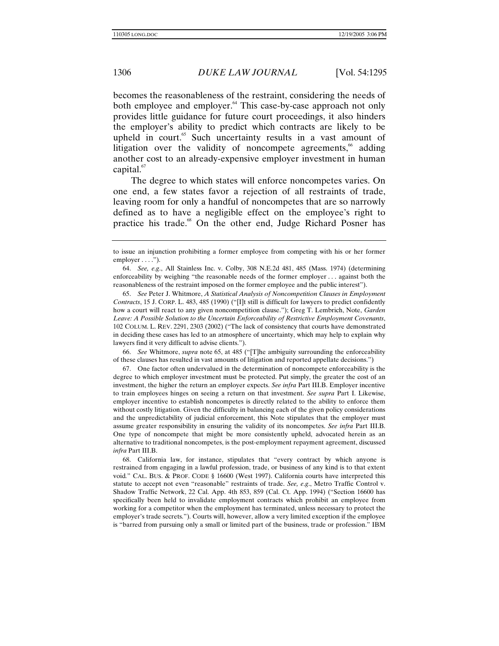becomes the reasonableness of the restraint, considering the needs of both employee and employer.<sup>64</sup> This case-by-case approach not only provides little guidance for future court proceedings, it also hinders the employer's ability to predict which contracts are likely to be upheld in court.<sup>65</sup> Such uncertainty results in a vast amount of litigation over the validity of noncompete agreements,<sup>66</sup> adding another cost to an already-expensive employer investment in human capital. $\frac{67}{2}$ 

The degree to which states will enforce noncompetes varies. On one end, a few states favor a rejection of all restraints of trade, leaving room for only a handful of noncompetes that are so narrowly defined as to have a negligible effect on the employee's right to practice his trade.<sup>68</sup> On the other end, Judge Richard Posner has

65. *See* Peter J. Whitmore, *A Statistical Analysis of Noncompetition Clauses in Employment Contracts*, 15 J. CORP. L. 483, 485 (1990) ("[I]t still is difficult for lawyers to predict confidently how a court will react to any given noncompetition clause."); Greg T. Lembrich, Note, *Garden Leave: A Possible Solution to the Uncertain Enforceability of Restrictive Employment Covenants*, 102 COLUM. L. REV. 2291, 2303 (2002) ("The lack of consistency that courts have demonstrated in deciding these cases has led to an atmosphere of uncertainty, which may help to explain why lawyers find it very difficult to advise clients.").

66. *See* Whitmore, *supra* note 65, at 485 ("[T]he ambiguity surrounding the enforceability of these clauses has resulted in vast amounts of litigation and reported appellate decisions.")

 67. One factor often undervalued in the determination of noncompete enforceability is the degree to which employer investment must be protected. Put simply, the greater the cost of an investment, the higher the return an employer expects. *See infra* Part III.B. Employer incentive to train employees hinges on seeing a return on that investment. *See supra* Part I. Likewise, employer incentive to establish noncompetes is directly related to the ability to enforce them without costly litigation. Given the difficulty in balancing each of the given policy considerations and the unpredictability of judicial enforcement, this Note stipulates that the employer must assume greater responsibility in ensuring the validity of its noncompetes. *See infra* Part III.B. One type of noncompete that might be more consistently upheld, advocated herein as an alternative to traditional noncompetes, is the post-employment repayment agreement, discussed *infra* Part III.B.

 68. California law, for instance, stipulates that "every contract by which anyone is restrained from engaging in a lawful profession, trade, or business of any kind is to that extent void*.*" CAL. BUS. & PROF. CODE § 16600 (West 1997). California courts have interpreted this statute to accept not even "reasonable" restraints of trade. *See, e*.*g*., Metro Traffic Control v. Shadow Traffic Network, 22 Cal. App. 4th 853, 859 (Cal. Ct. App. 1994) ("Section 16600 has specifically been held to invalidate employment contracts which prohibit an employee from working for a competitor when the employment has terminated, unless necessary to protect the employer's trade secrets."). Courts will, however, allow a very limited exception if the employee is "barred from pursuing only a small or limited part of the business, trade or profession." IBM

to issue an injunction prohibiting a former employee from competing with his or her former  $emplover \ldots$ ").

<sup>64.</sup> *See, e*.*g*., All Stainless Inc. v. Colby, 308 N.E.2d 481, 485 (Mass. 1974) (determining enforceability by weighing "the reasonable needs of the former employer . . . against both the reasonableness of the restraint imposed on the former employee and the public interest").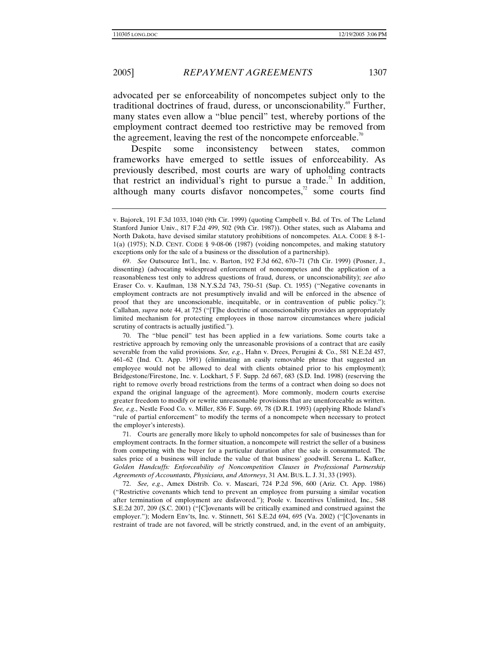advocated per se enforceability of noncompetes subject only to the traditional doctrines of fraud, duress, or unconscionability. $\mathfrak{g}$  Further, many states even allow a "blue pencil" test, whereby portions of the employment contract deemed too restrictive may be removed from the agreement, leaving the rest of the noncompete enforceable.<sup>70</sup>

Despite some inconsistency between states, common frameworks have emerged to settle issues of enforceability. As previously described, most courts are wary of upholding contracts that restrict an individual's right to pursue a trade.<sup>71</sup> In addition, although many courts disfavor noncompetes, $\alpha$ <sup>2</sup> some courts find

69. *See* Outsource Int'l., Inc. v. Barton, 192 F.3d 662, 670–71 (7th Cir. 1999) (Posner, J., dissenting) (advocating widespread enforcement of noncompetes and the application of a reasonableness test only to address questions of fraud, duress, or unconscionability); *see also*  Eraser Co. v. Kaufman, 138 N.Y.S.2d 743, 750–51 (Sup. Ct. 1955) ("Negative covenants in employment contracts are not presumptively invalid and will be enforced in the absence of proof that they are unconscionable, inequitable, or in contravention of public policy."); Callahan, *supra* note 44, at 725 ("[T]he doctrine of unconscionability provides an appropriately limited mechanism for protecting employees in those narrow circumstances where judicial scrutiny of contracts is actually justified.").

 70. The "blue pencil" test has been applied in a few variations. Some courts take a restrictive approach by removing only the unreasonable provisions of a contract that are easily severable from the valid provisions. *See, e*.*g*., Hahn v. Drees, Perugini & Co., 581 N.E.2d 457, 461–62 (Ind. Ct. App. 1991) (eliminating an easily removable phrase that suggested an employee would not be allowed to deal with clients obtained prior to his employment); Bridgestone/Firestone, Inc. v. Lockhart, 5 F. Supp. 2d 667, 683 (S.D. Ind. 1998) (reserving the right to remove overly broad restrictions from the terms of a contract when doing so does not expand the original language of the agreement). More commonly, modern courts exercise greater freedom to modify or rewrite unreasonable provisions that are unenforceable as written. *See, e*.*g*., Nestle Food Co. v. Miller, 836 F. Supp. 69, 78 (D.R.I. 1993) (applying Rhode Island's "rule of partial enforcement" to modify the terms of a noncompete when necessary to protect the employer's interests).

 71. Courts are generally more likely to uphold noncompetes for sale of businesses than for employment contracts. In the former situation, a noncompete will restrict the seller of a business from competing with the buyer for a particular duration after the sale is consummated. The sales price of a business will include the value of that business' goodwill. Serena L. Kafker, *Golden Handcuffs: Enforceability of Noncompetition Clauses in Professional Partnership Agreements of Accountants, Physicians, and Attorneys*, 31 AM. BUS. L. J. 31, 33 (1993).

72. *See, e*.*g*., Amex Distrib. Co. v. Mascari, 724 P.2d 596, 600 (Ariz. Ct. App. 1986) ("Restrictive covenants which tend to prevent an employee from pursuing a similar vocation after termination of employment are disfavored."); Poole v. Incentives Unlimited, Inc., 548 S.E.2d 207, 209 (S.C. 2001) ("[C]ovenants will be critically examined and construed against the employer."); Modern Env'ts, Inc. v. Stinnett, 561 S.E.2d 694, 695 (Va. 2002) ("[C]ovenants in restraint of trade are not favored, will be strictly construed, and, in the event of an ambiguity,

v. Bajorek, 191 F.3d 1033, 1040 (9th Cir. 1999) (quoting Campbell v. Bd. of Trs. of The Leland Stanford Junior Univ., 817 F.2d 499, 502 (9th Cir. 1987)). Other states, such as Alabama and North Dakota, have devised similar statutory prohibitions of noncompetes. ALA. CODE § 8-1- 1(a) (1975); N.D. CENT. CODE § 9-08-06 (1987) (voiding noncompetes, and making statutory exceptions only for the sale of a business or the dissolution of a partnership).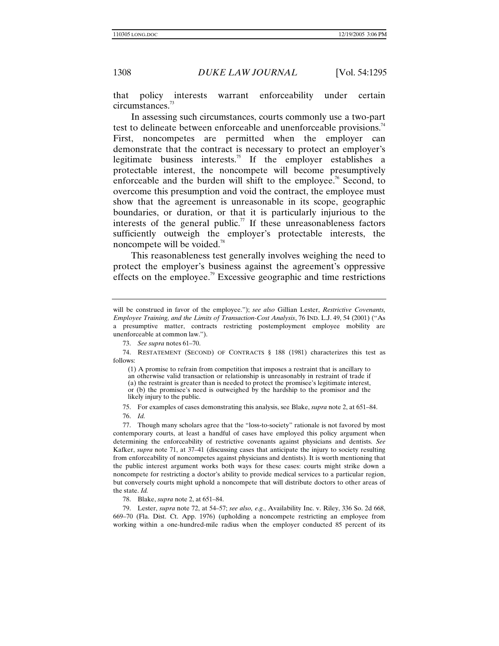that policy interests warrant enforceability under certain circumstances.<sup>73</sup>

In assessing such circumstances, courts commonly use a two-part test to delineate between enforceable and unenforceable provisions.<sup>74</sup> First, noncompetes are permitted when the employer can demonstrate that the contract is necessary to protect an employer's legitimate business interests.<sup>75</sup> If the employer establishes a protectable interest, the noncompete will become presumptively enforceable and the burden will shift to the employee.<sup>76</sup> Second, to overcome this presumption and void the contract, the employee must show that the agreement is unreasonable in its scope, geographic boundaries, or duration, or that it is particularly injurious to the interests of the general public.<sup>77</sup> If these unreasonableness factors sufficiently outweigh the employer's protectable interests, the noncompete will be voided.<sup>78</sup>

This reasonableness test generally involves weighing the need to protect the employer's business against the agreement's oppressive effects on the employee.<sup>79</sup> Excessive geographic and time restrictions

 77. Though many scholars agree that the "loss-to-society" rationale is not favored by most contemporary courts, at least a handful of cases have employed this policy argument when determining the enforceability of restrictive covenants against physicians and dentists. *See*  Kafker, *supra* note 71, at 37–41 (discussing cases that anticipate the injury to society resulting from enforceability of noncompetes against physicians and dentists). It is worth mentioning that the public interest argument works both ways for these cases: courts might strike down a noncompete for restricting a doctor's ability to provide medical services to a particular region, but conversely courts might uphold a noncompete that will distribute doctors to other areas of the state. *Id.* 

78. Blake, *supra* note 2, at 651–84.

 79. Lester, *supra* note 72, at 54–57; *see also, e*.*g*., Availability Inc. v. Riley, 336 So. 2d 668, 669–70 (Fla. Dist. Ct. App. 1976) (upholding a noncompete restricting an employee from working within a one-hundred-mile radius when the employer conducted 85 percent of its

will be construed in favor of the employee."); *see also* Gillian Lester, *Restrictive Covenants, Employee Training, and the Limits of Transaction-Cost Analysis*, 76 IND. L.J. 49, 54 (2001) ("As a presumptive matter, contracts restricting postemployment employee mobility are unenforceable at common law.").

<sup>73.</sup> *See supra* notes 61–70.

 <sup>74.</sup> RESTATEMENT (SECOND) OF CONTRACTS § 188 (1981) characterizes this test as follows:

<sup>(1)</sup> A promise to refrain from competition that imposes a restraint that is ancillary to an otherwise valid transaction or relationship is unreasonably in restraint of trade if (a) the restraint is greater than is needed to protect the promisee's legitimate interest, or (b) the promisee's need is outweighed by the hardship to the promisor and the likely injury to the public.

 <sup>75.</sup> For examples of cases demonstrating this analysis, see Blake, *supra* note 2, at 651–84.

<sup>76.</sup> *Id.*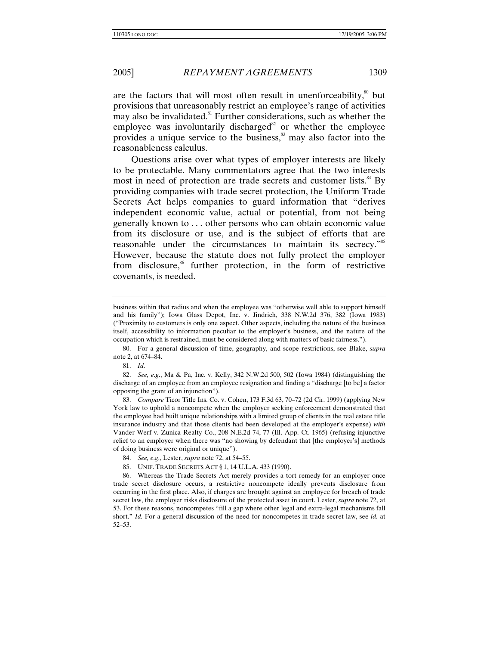are the factors that will most often result in unenforceability,<sup>80</sup> but provisions that unreasonably restrict an employee's range of activities may also be invalidated.<sup>81</sup> Further considerations, such as whether the employee was involuntarily discharged<sup>82</sup> or whether the employee provides a unique service to the business,<sup>83</sup> may also factor into the reasonableness calculus.

Questions arise over what types of employer interests are likely to be protectable. Many commentators agree that the two interests most in need of protection are trade secrets and customer lists.<sup>84</sup> By providing companies with trade secret protection, the Uniform Trade Secrets Act helps companies to guard information that "derives independent economic value, actual or potential, from not being generally known to . . . other persons who can obtain economic value from its disclosure or use, and is the subject of efforts that are reasonable under the circumstances to maintain its secrecy."<sup>85</sup> However, because the statute does not fully protect the employer from disclosure,<sup>86</sup> further protection, in the form of restrictive covenants, is needed.

83. *Compare* Ticor Title Ins. Co. v. Cohen, 173 F.3d 63, 70–72 (2d Cir. 1999) (applying New York law to uphold a noncompete when the employer seeking enforcement demonstrated that the employee had built unique relationships with a limited group of clients in the real estate title insurance industry and that those clients had been developed at the employer's expense) *with*  Vander Werf v. Zunica Realty Co., 208 N.E.2d 74, 77 (Ill. App. Ct. 1965) (refusing injunctive relief to an employer when there was "no showing by defendant that [the employer's] methods of doing business were original or unique").

- 84. *See, e*.*g*., Lester, *supra* note 72, at 54–55.
- 85. UNIF. TRADE SECRETS ACT § 1, 14 U.L.A. 433 (1990).

 86. Whereas the Trade Secrets Act merely provides a tort remedy for an employer once trade secret disclosure occurs, a restrictive noncompete ideally prevents disclosure from occurring in the first place. Also, if charges are brought against an employee for breach of trade secret law, the employer risks disclosure of the protected asset in court. Lester, *supra* note 72, at 53. For these reasons, noncompetes "fill a gap where other legal and extra-legal mechanisms fall short." *Id.* For a general discussion of the need for noncompetes in trade secret law, see *id.* at 52–53.

business within that radius and when the employee was "otherwise well able to support himself and his family"); Iowa Glass Depot, Inc. v. Jindrich, 338 N.W.2d 376, 382 (Iowa 1983) ("Proximity to customers is only one aspect. Other aspects, including the nature of the business itself, accessibility to information peculiar to the employer's business, and the nature of the occupation which is restrained, must be considered along with matters of basic fairness.").

 <sup>80.</sup> For a general discussion of time, geography, and scope restrictions, see Blake, *supra* note 2, at 674–84.

<sup>81.</sup> *Id.* 

<sup>82.</sup> *See, e*.*g*., Ma & Pa, Inc. v. Kelly, 342 N.W.2d 500, 502 (Iowa 1984) (distinguishing the discharge of an employee from an employee resignation and finding a "discharge [to be] a factor opposing the grant of an injunction").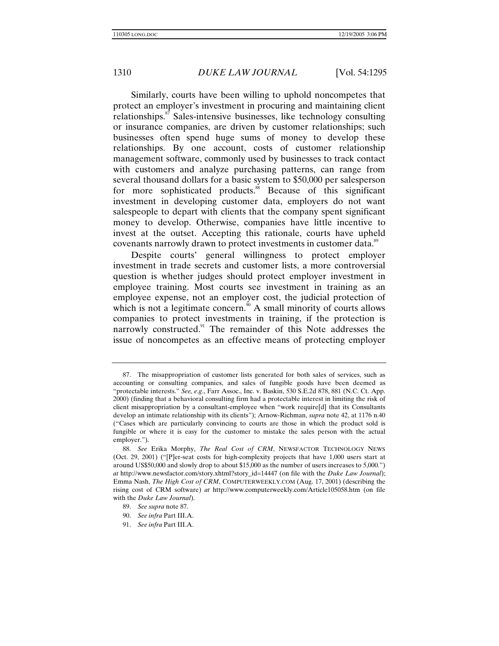Similarly, courts have been willing to uphold noncompetes that protect an employer's investment in procuring and maintaining client relationships.<sup>87</sup> Sales-intensive businesses, like technology consulting or insurance companies, are driven by customer relationships; such businesses often spend huge sums of money to develop these relationships. By one account, costs of customer relationship management software, commonly used by businesses to track contact with customers and analyze purchasing patterns, can range from several thousand dollars for a basic system to \$50,000 per salesperson for more sophisticated products.<sup>88</sup> Because of this significant investment in developing customer data, employers do not want salespeople to depart with clients that the company spent significant money to develop. Otherwise, companies have little incentive to invest at the outset. Accepting this rationale, courts have upheld covenants narrowly drawn to protect investments in customer data.<sup>89</sup>

Despite courts' general willingness to protect employer investment in trade secrets and customer lists, a more controversial question is whether judges should protect employer investment in employee training. Most courts see investment in training as an employee expense, not an employer cost, the judicial protection of which is not a legitimate concern.<sup> $90$ </sup> A small minority of courts allows companies to protect investments in training, if the protection is narrowly constructed.<sup>91</sup> The remainder of this Note addresses the issue of noncompetes as an effective means of protecting employer

 <sup>87.</sup> The misappropriation of customer lists generated for both sales of services, such as accounting or consulting companies, and sales of fungible goods have been deemed as "protectable interests." *See, e*.*g*., Farr Assoc., Inc. v. Baskin, 530 S.E.2d 878, 881 (N.C. Ct. App. 2000) (finding that a behavioral consulting firm had a protectable interest in limiting the risk of client misappropriation by a consultant-employee when "work require[d] that its Consultants develop an intimate relationship with its clients"); Arnow-Richman, *supra* note 42, at 1176 n.40 ("Cases which are particularly convincing to courts are those in which the product sold is fungible or where it is easy for the customer to mistake the sales person with the actual employer.").

<sup>88.</sup> *See* Erika Morphy, *The Real Cost of CRM*, NEWSFACTOR TECHNOLOGY NEWS (Oct. 29, 2001) ("[P]er-seat costs for high-complexity projects that have 1,000 users start at around US\$50,000 and slowly drop to about \$15,000 as the number of users increases to 5,000.") *at* http://www.newsfactor.com/story.xhtml?story\_id=14447 (on file with the *Duke Law Journal*); Emma Nash, *The High Cost of CRM*, COMPUTERWEEKLY.COM (Aug. 17, 2001) (describing the rising cost of CRM software) *at* http://www.computerweekly.com/Article105058.htm (on file with the *Duke Law Journal*).

<sup>89.</sup> *See supra* note 87.

<sup>90.</sup> *See infra* Part III.A.

<sup>91.</sup> *See infra* Part III.A.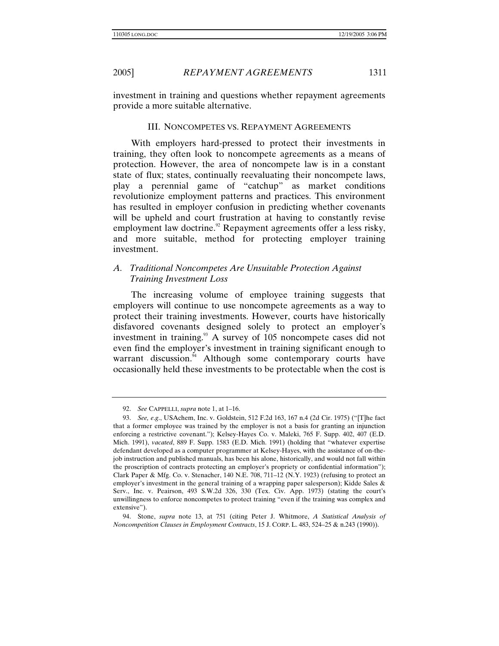investment in training and questions whether repayment agreements provide a more suitable alternative.

## III. NONCOMPETES VS. REPAYMENT AGREEMENTS

With employers hard-pressed to protect their investments in training, they often look to noncompete agreements as a means of protection. However, the area of noncompete law is in a constant state of flux; states, continually reevaluating their noncompete laws, play a perennial game of "catchup" as market conditions revolutionize employment patterns and practices. This environment has resulted in employer confusion in predicting whether covenants will be upheld and court frustration at having to constantly revise employment law doctrine.<sup>92</sup> Repayment agreements offer a less risky, and more suitable, method for protecting employer training investment.

# *A. Traditional Noncompetes Are Unsuitable Protection Against Training Investment Loss*

The increasing volume of employee training suggests that employers will continue to use noncompete agreements as a way to protect their training investments. However, courts have historically disfavored covenants designed solely to protect an employer's investment in training.<sup>93</sup> A survey of 105 noncompete cases did not even find the employer's investment in training significant enough to warrant discussion.<sup>94</sup> Although some contemporary courts have occasionally held these investments to be protectable when the cost is

<sup>92.</sup> *See* CAPPELLI, *supra* note 1, at 1–16.

<sup>93.</sup> *See, e*.*g*., USAchem, Inc. v. Goldstein, 512 F.2d 163, 167 n.4 (2d Cir. 1975) ("[T]he fact that a former employee was trained by the employer is not a basis for granting an injunction enforcing a restrictive covenant."); Kelsey-Hayes Co. v. Maleki, 765 F. Supp. 402, 407 (E.D. Mich. 1991), *vacated*, 889 F. Supp. 1583 (E.D. Mich. 1991) (holding that "whatever expertise defendant developed as a computer programmer at Kelsey-Hayes, with the assistance of on-thejob instruction and published manuals, has been his alone, historically, and would not fall within the proscription of contracts protecting an employer's propriety or confidential information"); Clark Paper & Mfg. Co. v. Stenacher, 140 N.E. 708, 711–12 (N.Y. 1923) (refusing to protect an employer's investment in the general training of a wrapping paper salesperson); Kidde Sales & Serv., Inc. v. Peairson, 493 S.W.2d 326, 330 (Tex. Civ. App. 1973) (stating the court's unwillingness to enforce noncompetes to protect training "even if the training was complex and extensive").

<sup>94.</sup> Stone, *supra* note 13, at 751 (citing Peter J. Whitmore, *A Statistical Analysis of Noncompetition Clauses in Employment Contracts*, 15 J. CORP. L. 483, 524–25 & n.243 (1990)).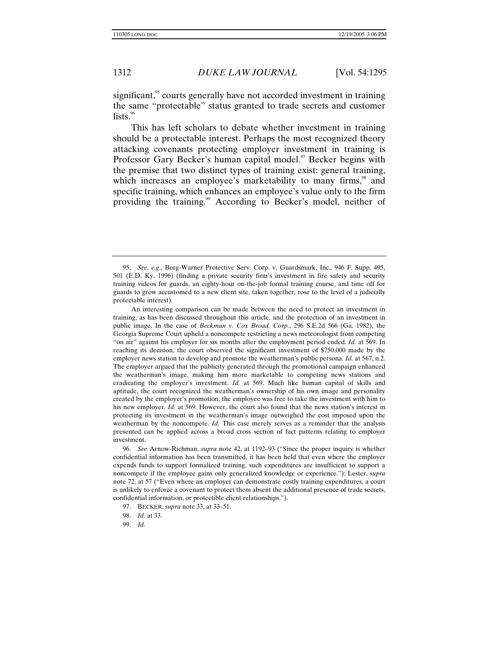significant,<sup>95</sup> courts generally have not accorded investment in training the same "protectable" status granted to trade secrets and customer lists. $96$ 

This has left scholars to debate whether investment in training should be a protectable interest. Perhaps the most recognized theory attacking covenants protecting employer investment in training is Professor Gary Becker's human capital model.<sup>97</sup> Becker begins with the premise that two distinct types of training exist: general training, which increases an employee's marketability to many firms,<sup>98</sup> and specific training, which enhances an employee's value only to the firm providing the training.<sup>99</sup> According to Becker's model, neither of

96. *See* Arnow-Richman, *supra* note 42, at 1192–93 ("Since the proper inquiry is whether confidential information has been transmitted, it has been held that even where the employer expends funds to support formalized training, such expenditures are insufficient to support a noncompete if the employee gains only generalized knowledge or experience."); Lester, *supra*  note 72, at 57 ("Even where an employer can demonstrate costly training expenditures, a court is unlikely to enforce a covenant to protect them absent the additional presence of trade secrets, confidential information, or protectible client relationships.").

<sup>95.</sup> *See, e*.*g*., Borg-Warner Protective Serv. Corp. v. Guardsmark, Inc., 946 F. Supp. 495, 501 (E.D. Ky. 1996) (finding a private security firm's investment in fire safety and security training videos for guards, an eighty-hour on-the-job formal training course, and time off for guards to grow accustomed to a new client site, taken together, rose to the level of a judicially protectable interest).

An interesting comparison can be made between the need to protect an investment in training, as has been discussed throughout this article, and the protection of an investment in public image. In the case of *Beckman v. Cox Broad. Corp.*, 296 S.E.2d 566 (Ga. 1982), the Georgia Supreme Court upheld a noncompete restricting a news meteorologist from competing "on air" against his employer for six months after the employment period ended. *Id.* at 569. In reaching its decision, the court observed the significant investment of \$750,000 made by the employer news station to develop and promote the weatherman's public persona. *Id.* at 567, n.2. The employer argued that the publicity generated through the promotional campaign enhanced the weatherman's image, making him more marketable to competing news stations and eradicating the employer's investment. *Id.* at 569. Much like human capital of skills and aptitude, the court recognized the weatherman's ownership of his own image and personality created by the employer's promotion; the employee was free to take the investment with him to his new employer. *Id.* at 569. However, the court also found that the news station's interest in protecting its investment in the weatherman's image outweighed the cost imposed upon the weatherman by the noncompete. *Id.* This case merely serves as a reminder that the analysis presented can be applied across a broad cross section of fact patterns relating to employer investment.

 <sup>97.</sup> BECKER, *supra* note 33, at 33–51.

<sup>98.</sup> *Id.* at 33.

<sup>99.</sup> *Id.*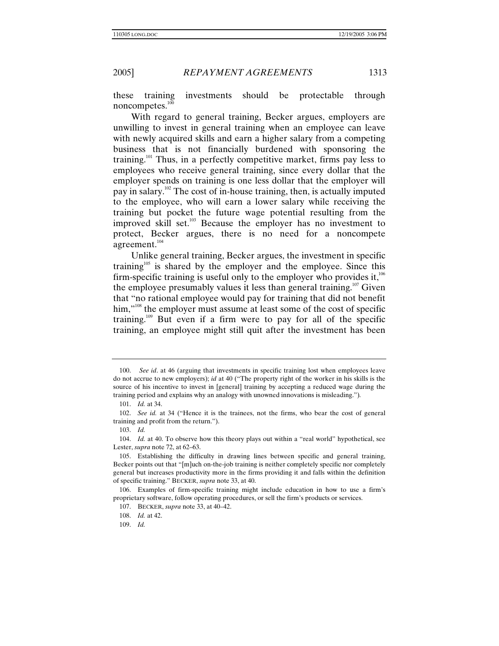these training investments should be protectable through noncompetes. $100$ 

With regard to general training, Becker argues, employers are unwilling to invest in general training when an employee can leave with newly acquired skills and earn a higher salary from a competing business that is not financially burdened with sponsoring the training.101 Thus, in a perfectly competitive market, firms pay less to employees who receive general training, since every dollar that the employer spends on training is one less dollar that the employer will pay in salary.<sup>102</sup> The cost of in-house training, then, is actually imputed to the employee, who will earn a lower salary while receiving the training but pocket the future wage potential resulting from the improved skill set.<sup>103</sup> Because the employer has no investment to protect, Becker argues, there is no need for a noncompete agreement.<sup>104</sup>

Unlike general training, Becker argues, the investment in specific training<sup>105</sup> is shared by the employer and the employee. Since this firm-specific training is useful only to the employer who provides it, $106$ the employee presumably values it less than general training.<sup>107</sup> Given that "no rational employee would pay for training that did not benefit him,"<sup>108</sup> the employer must assume at least some of the cost of specific training.<sup>109</sup> But even if a firm were to pay for all of the specific training, an employee might still quit after the investment has been

 <sup>100.</sup> *See id*. at 46 (arguing that investments in specific training lost when employees leave do not accrue to new employers); *id* at 40 ("The property right of the worker in his skills is the source of his incentive to invest in [general] training by accepting a reduced wage during the training period and explains why an analogy with unowned innovations is misleading.")*.* 

<sup>101.</sup> *Id.* at 34.

<sup>102.</sup> *See id.* at 34 ("Hence it is the trainees, not the firms, who bear the cost of general training and profit from the return.").

<sup>103.</sup> *Id.* 

<sup>104.</sup> *Id.* at 40. To observe how this theory plays out within a "real world" hypothetical, see Lester, *supra* note 72, at 62–63.

 <sup>105.</sup> Establishing the difficulty in drawing lines between specific and general training, Becker points out that "[m]uch on-the-job training is neither completely specific nor completely general but increases productivity more in the firms providing it and falls within the definition of specific training." BECKER, *supra* note 33, at 40.

 <sup>106.</sup> Examples of firm-specific training might include education in how to use a firm's proprietary software, follow operating procedures, or sell the firm's products or services.

 <sup>107.</sup> BECKER, *supra* note 33, at 40–42.

<sup>108.</sup> *Id.* at 42.

<sup>109.</sup> *Id.*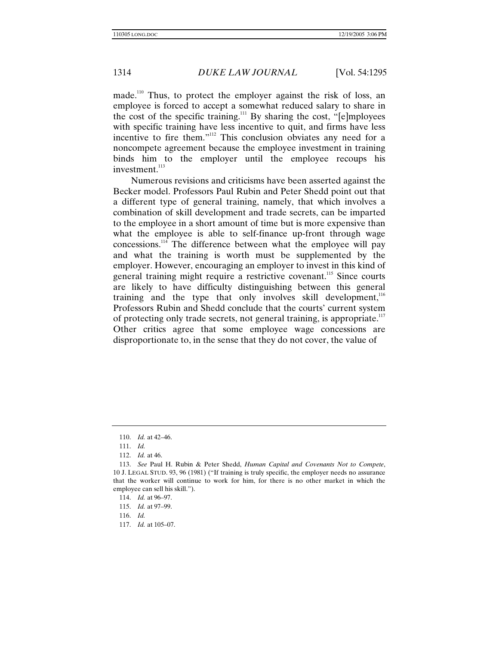made.110 Thus, to protect the employer against the risk of loss, an employee is forced to accept a somewhat reduced salary to share in the cost of the specific training.<sup>111</sup> By sharing the cost, "[e]mployees with specific training have less incentive to quit, and firms have less incentive to fire them."<sup>112</sup> This conclusion obviates any need for a noncompete agreement because the employee investment in training binds him to the employer until the employee recoups his investment.<sup>113</sup>

Numerous revisions and criticisms have been asserted against the Becker model. Professors Paul Rubin and Peter Shedd point out that a different type of general training, namely, that which involves a combination of skill development and trade secrets, can be imparted to the employee in a short amount of time but is more expensive than what the employee is able to self-finance up-front through wage concessions.114 The difference between what the employee will pay and what the training is worth must be supplemented by the employer. However, encouraging an employer to invest in this kind of general training might require a restrictive covenant.<sup>115</sup> Since courts are likely to have difficulty distinguishing between this general training and the type that only involves skill development,<sup>116</sup> Professors Rubin and Shedd conclude that the courts' current system of protecting only trade secrets, not general training, is appropriate.<sup>117</sup> Other critics agree that some employee wage concessions are disproportionate to, in the sense that they do not cover, the value of

117. *Id.* at 105–07.

<sup>110.</sup> *Id.* at 42–46.

<sup>111.</sup> *Id.* 

<sup>112.</sup> *Id.* at 46.

<sup>113.</sup> *See* Paul H. Rubin & Peter Shedd, *Human Capital and Covenants Not to Compete*, 10 J. LEGAL STUD. 93, 96 (1981) ("If training is truly specific, the employer needs no assurance that the worker will continue to work for him, for there is no other market in which the employee can sell his skill.").

<sup>114.</sup> *Id.* at 96–97.

<sup>115.</sup> *Id.* at 97–99.

<sup>116.</sup> *Id.*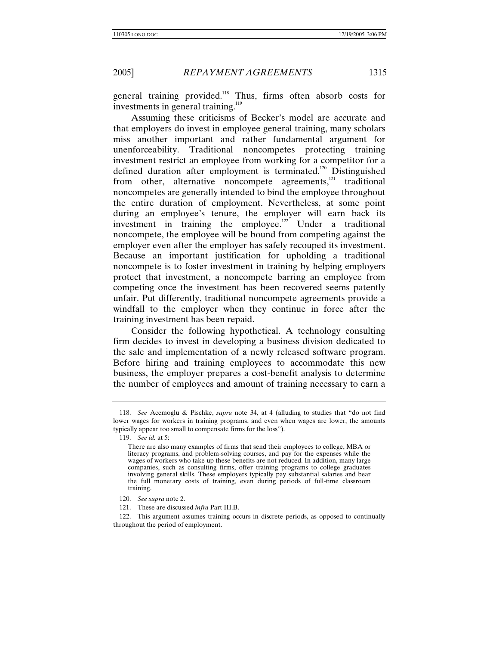general training provided.<sup>118</sup> Thus, firms often absorb costs for investments in general training.<sup>119</sup>

Assuming these criticisms of Becker's model are accurate and that employers do invest in employee general training, many scholars miss another important and rather fundamental argument for unenforceability. Traditional noncompetes protecting training investment restrict an employee from working for a competitor for a defined duration after employment is terminated.<sup>120</sup> Distinguished from other, alternative noncompete agreements,<sup>121</sup> traditional noncompetes are generally intended to bind the employee throughout the entire duration of employment. Nevertheless, at some point during an employee's tenure, the employer will earn back its investment in training the employee. $122$  Under a traditional noncompete, the employee will be bound from competing against the employer even after the employer has safely recouped its investment. Because an important justification for upholding a traditional noncompete is to foster investment in training by helping employers protect that investment, a noncompete barring an employee from competing once the investment has been recovered seems patently unfair. Put differently, traditional noncompete agreements provide a windfall to the employer when they continue in force after the training investment has been repaid.

Consider the following hypothetical. A technology consulting firm decides to invest in developing a business division dedicated to the sale and implementation of a newly released software program. Before hiring and training employees to accommodate this new business, the employer prepares a cost-benefit analysis to determine the number of employees and amount of training necessary to earn a

120. *See supra* note 2.

<sup>118.</sup> *See* Acemoglu & Pischke, *supra* note 34, at 4 (alluding to studies that "do not find lower wages for workers in training programs, and even when wages are lower, the amounts typically appear too small to compensate firms for the loss").

<sup>119.</sup> *See id.* at 5:

There are also many examples of firms that send their employees to college, MBA or literacy programs, and problem-solving courses, and pay for the expenses while the wages of workers who take up these benefits are not reduced. In addition, many large companies, such as consulting firms, offer training programs to college graduates involving general skills. These employers typically pay substantial salaries and bear the full monetary costs of training, even during periods of full-time classroom training.

 <sup>121.</sup> These are discussed *infra* Part III.B.

 <sup>122.</sup> This argument assumes training occurs in discrete periods, as opposed to continually throughout the period of employment.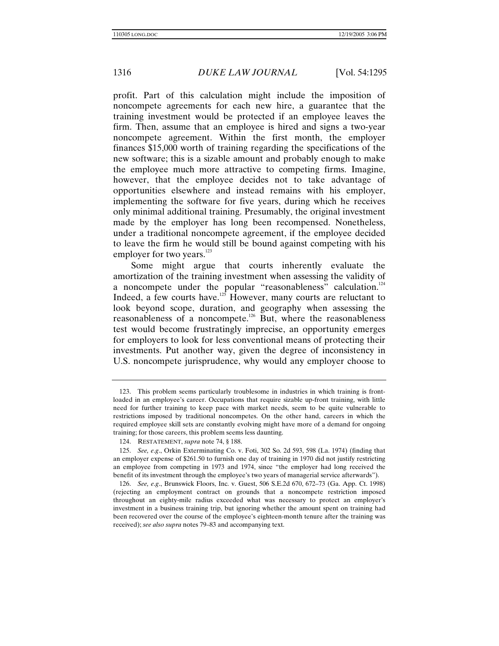profit. Part of this calculation might include the imposition of noncompete agreements for each new hire, a guarantee that the training investment would be protected if an employee leaves the firm. Then, assume that an employee is hired and signs a two-year noncompete agreement. Within the first month, the employer finances \$15,000 worth of training regarding the specifications of the new software; this is a sizable amount and probably enough to make the employee much more attractive to competing firms. Imagine, however, that the employee decides not to take advantage of opportunities elsewhere and instead remains with his employer, implementing the software for five years, during which he receives only minimal additional training. Presumably, the original investment made by the employer has long been recompensed. Nonetheless, under a traditional noncompete agreement, if the employee decided to leave the firm he would still be bound against competing with his employer for two years.<sup>123</sup>

Some might argue that courts inherently evaluate the amortization of the training investment when assessing the validity of a noncompete under the popular "reasonableness" calculation.<sup>124</sup> Indeed, a few courts have.<sup>125</sup> However, many courts are reluctant to look beyond scope, duration, and geography when assessing the reasonableness of a noncompete.<sup>126</sup> But, where the reasonableness test would become frustratingly imprecise, an opportunity emerges for employers to look for less conventional means of protecting their investments. Put another way, given the degree of inconsistency in U.S. noncompete jurisprudence, why would any employer choose to

 <sup>123.</sup> This problem seems particularly troublesome in industries in which training is frontloaded in an employee's career. Occupations that require sizable up-front training, with little need for further training to keep pace with market needs, seem to be quite vulnerable to restrictions imposed by traditional noncompetes. On the other hand, careers in which the required employee skill sets are constantly evolving might have more of a demand for ongoing training; for those careers, this problem seems less daunting.

 <sup>124.</sup> RESTATEMENT, *supra* note 74, § 188.

<sup>125.</sup> *See, e*.*g*., Orkin Exterminating Co. v. Foti, 302 So. 2d 593, 598 (La. 1974) (finding that an employer expense of \$261.50 to furnish one day of training in 1970 did not justify restricting an employee from competing in 1973 and 1974, since "the employer had long received the benefit of its investment through the employee's two years of managerial service afterwards").

<sup>126.</sup> *See, e*.*g*., Brunswick Floors, Inc. v. Guest, 506 S.E.2d 670, 672–73 (Ga. App. Ct. 1998) (rejecting an employment contract on grounds that a noncompete restriction imposed throughout an eighty-mile radius exceeded what was necessary to protect an employer's investment in a business training trip, but ignoring whether the amount spent on training had been recovered over the course of the employee's eighteen-month tenure after the training was received); *see also supra* notes 79–83 and accompanying text.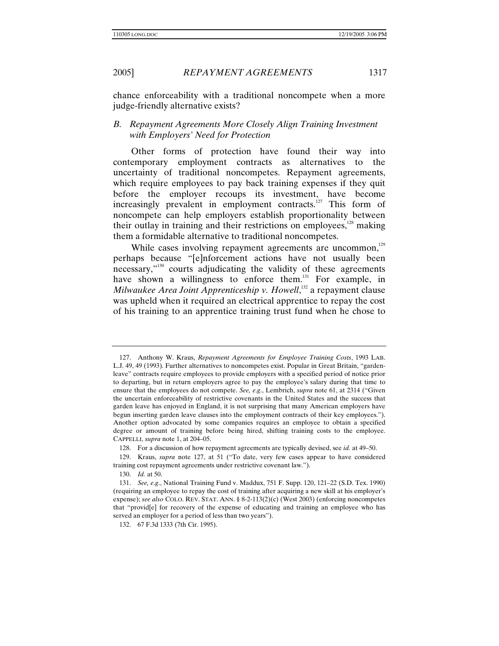chance enforceability with a traditional noncompete when a more judge-friendly alternative exists?

# *B. Repayment Agreements More Closely Align Training Investment with Employers' Need for Protection*

Other forms of protection have found their way into contemporary employment contracts as alternatives to the uncertainty of traditional noncompetes. Repayment agreements, which require employees to pay back training expenses if they quit before the employer recoups its investment, have become increasingly prevalent in employment contracts.<sup>127</sup> This form of noncompete can help employers establish proportionality between their outlay in training and their restrictions on employees, $128$  making them a formidable alternative to traditional noncompetes.

While cases involving repayment agreements are uncommon,<sup>129</sup> perhaps because "[e]nforcement actions have not usually been necessary,"130 courts adjudicating the validity of these agreements have shown a willingness to enforce them.<sup>131</sup> For example, in *Milwaukee Area Joint Apprenticeship v. Howell*, 132 a repayment clause was upheld when it required an electrical apprentice to repay the cost of his training to an apprentice training trust fund when he chose to

 <sup>127.</sup> Anthony W. Kraus, *Repayment Agreements for Employee Training Costs*, 1993 LAB. L.J. 49, 49 (1993). Further alternatives to noncompetes exist. Popular in Great Britain, "gardenleave" contracts require employees to provide employers with a specified period of notice prior to departing, but in return employers agree to pay the employee's salary during that time to ensure that the employees do not compete. *See, e*.*g*., Lembrich, *supra* note 61, at 2314 ("Given the uncertain enforceability of restrictive covenants in the United States and the success that garden leave has enjoyed in England, it is not surprising that many American employers have begun inserting garden leave clauses into the employment contracts of their key employees."). Another option advocated by some companies requires an employee to obtain a specified degree or amount of training before being hired, shifting training costs to the employee. CAPPELLI, *supra* note 1, at 204–05.

 <sup>128.</sup> For a discussion of how repayment agreements are typically devised, see *id.* at 49–50.

 <sup>129.</sup> Kraus, *supra* note 127, at 51 ("To date, very few cases appear to have considered training cost repayment agreements under restrictive covenant law.").

<sup>130.</sup> *Id.* at 50.

<sup>131.</sup> *See, e*.*g*., National Training Fund v. Maddux, 751 F. Supp. 120, 121–22 (S.D. Tex. 1990) (requiring an employee to repay the cost of training after acquiring a new skill at his employer's expense); *see also* COLO. REV. STAT. ANN. § 8-2-113(2)(c) (West 2003) (enforcing noncompetes that "provid[e] for recovery of the expense of educating and training an employee who has served an employer for a period of less than two years").

 <sup>132. 67</sup> F.3d 1333 (7th Cir. 1995).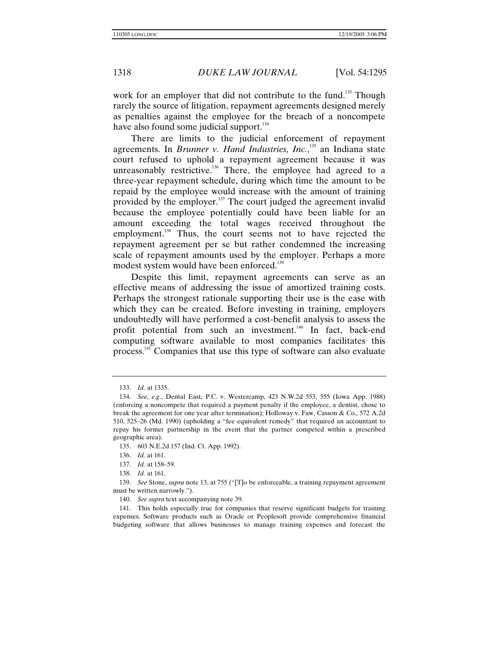work for an employer that did not contribute to the fund.<sup>133</sup> Though rarely the source of litigation, repayment agreements designed merely as penalties against the employee for the breach of a noncompete have also found some judicial support.<sup>134</sup>

There are limits to the judicial enforcement of repayment agreements. In *Brunner v. Hand Industries, Inc.*,<sup>135</sup> an Indiana state court refused to uphold a repayment agreement because it was unreasonably restrictive.<sup>136</sup> There, the employee had agreed to a three-year repayment schedule, during which time the amount to be repaid by the employee would increase with the amount of training provided by the employer.<sup>137</sup> The court judged the agreement invalid because the employee potentially could have been liable for an amount exceeding the total wages received throughout the employment.<sup>138</sup> Thus, the court seems not to have rejected the repayment agreement per se but rather condemned the increasing scale of repayment amounts used by the employer. Perhaps a more modest system would have been enforced.<sup>139</sup>

Despite this limit, repayment agreements can serve as an effective means of addressing the issue of amortized training costs. Perhaps the strongest rationale supporting their use is the ease with which they can be created. Before investing in training, employers undoubtedly will have performed a cost-benefit analysis to assess the profit potential from such an investment.<sup>140</sup> In fact, back-end computing software available to most companies facilitates this process.<sup>141</sup> Companies that use this type of software can also evaluate

<sup>133.</sup> *Id.* at 1335.

<sup>134.</sup> *See, e*.*g*., Dental East, P.C. v. Westercamp, 423 N.W.2d 553, 555 (Iowa App. 1988) (enforcing a noncompete that required a payment penalty if the employee, a dentist, chose to break the agreement for one year after termination); Holloway v. Faw, Casson & Co., 572 A.2d 510, 525–26 (Md. 1990) (upholding a "fee equivalent remedy" that required an accountant to repay his former partnership in the event that the partner competed within a prescribed geographic area).

 <sup>135. 603</sup> N.E.2d 157 (Ind. Ct. App. 1992).

<sup>136.</sup> *Id.* at 161.

<sup>137.</sup> *Id.* at 158–59.

<sup>138.</sup> *Id.* at 161.

<sup>139.</sup> *See* Stone, *supra* note 13, at 755 ("[T]o be enforceable, a training repayment agreement must be written narrowly.").

<sup>140.</sup> *See supra* text accompanying note 39.

 <sup>141.</sup> This holds especially true for companies that reserve significant budgets for training expenses. Software products such as Oracle or Peoplesoft provide comprehensive financial budgeting software that allows businesses to manage training expenses and forecast the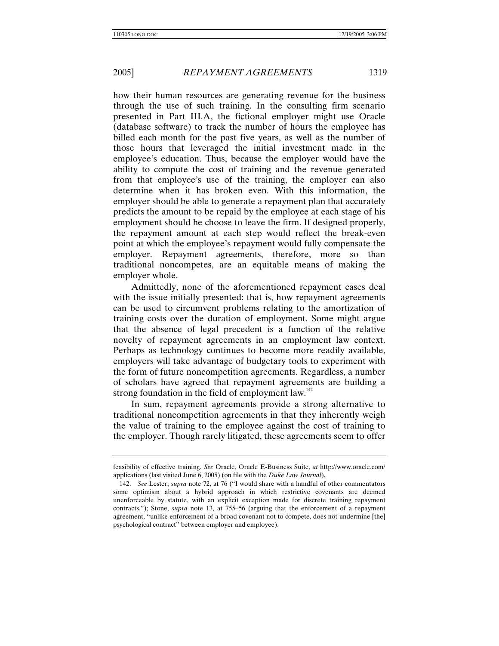how their human resources are generating revenue for the business through the use of such training. In the consulting firm scenario presented in Part III.A, the fictional employer might use Oracle (database software) to track the number of hours the employee has billed each month for the past five years, as well as the number of those hours that leveraged the initial investment made in the employee's education. Thus, because the employer would have the ability to compute the cost of training and the revenue generated from that employee's use of the training, the employer can also determine when it has broken even. With this information, the employer should be able to generate a repayment plan that accurately predicts the amount to be repaid by the employee at each stage of his employment should he choose to leave the firm. If designed properly, the repayment amount at each step would reflect the break-even point at which the employee's repayment would fully compensate the employer. Repayment agreements, therefore, more so than traditional noncompetes, are an equitable means of making the employer whole.

Admittedly, none of the aforementioned repayment cases deal with the issue initially presented: that is, how repayment agreements can be used to circumvent problems relating to the amortization of training costs over the duration of employment. Some might argue that the absence of legal precedent is a function of the relative novelty of repayment agreements in an employment law context. Perhaps as technology continues to become more readily available, employers will take advantage of budgetary tools to experiment with the form of future noncompetition agreements. Regardless, a number of scholars have agreed that repayment agreements are building a strong foundation in the field of employment  $law<sup>142</sup>$ .

In sum, repayment agreements provide a strong alternative to traditional noncompetition agreements in that they inherently weigh the value of training to the employee against the cost of training to the employer. Though rarely litigated, these agreements seem to offer

feasibility of effective training. *See* Oracle, Oracle E-Business Suite, *at* http://www.oracle.com/ applications (last visited June 6, 2005) (on file with the *Duke Law Journal*).

<sup>142.</sup> *See* Lester, *supra* note 72, at 76 ("I would share with a handful of other commentators some optimism about a hybrid approach in which restrictive covenants are deemed unenforceable by statute, with an explicit exception made for discrete training repayment contracts."); Stone, *supra* note 13, at 755–56 (arguing that the enforcement of a repayment agreement, "unlike enforcement of a broad covenant not to compete, does not undermine [the] psychological contract" between employer and employee).